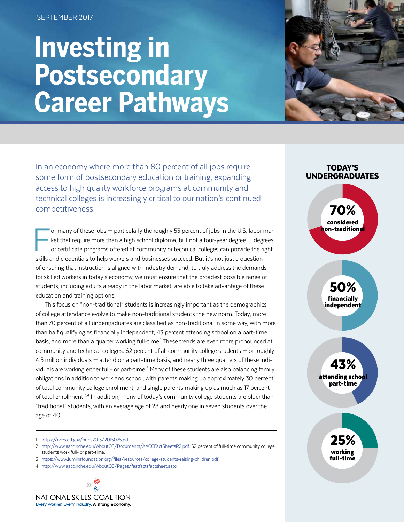#### SEPTEMBER 2017

# **Investing in Postsecondary Career Pathways**



In an economy where more than 80 percent of all jobs require some form of postsecondary education or training, expanding access to high quality workforce programs at community and technical colleges is increasingly critical to our nation's continued competitiveness.

 $\begin{array}{c} \hline \ \hline \ \hline \ \hline \ \hline \end{array}$ or many of these jobs — particularly the roughly 53 percent of jobs in the U.S. labor market that require more than a high school diploma, but not a four-year degree — degrees or certificate programs offered at community or technical colleges can provide the right skills and credentials to help workers and businesses succeed. But it's not just a question of ensuring that instruction is aligned with industry demand; to truly address the demands for skilled workers in today's economy, we must ensure that the broadest possible range of students, including adults already in the labor market, are able to take advantage of these education and training options.

This focus on "non-traditional" students is increasingly important as the demographics of college attendance evolve to make non-traditional students the new norm. Today, more than 70 percent of all undergraduates are classified as non-traditional in some way, with more than half qualifying as financially independent, 43 percent attending school on a part-time basis, and more than a quarter working full-time.<sup>1</sup> These trends are even more pronounced at community and technical colleges: 62 percent of all community college students — or roughly 4.5 million individuals — attend on a part-time basis, and nearly three quarters of these individuals are working either full- or part-time.<sup>2</sup> Many of these students are also balancing family obligations in addition to work and school, with parents making up approximately 30 percent of total community college enrollment, and single parents making up as much as 17 percent of total enrollment.<sup>3,4</sup> In addition, many of today's community college students are older than "traditional" students, with an average age of 28 and nearly one in seven students over the age of 40.

1 <https://nces.ed.gov/pubs2015/2015025.pdf>

- 2 [http://www.aacc.nche.edu/AboutCC/Documents/AACCFactSheetsR2.pdf.](http://www.aacc.nche.edu/AboutCC/Documents/AACCFactSheetsR2.pdf) 62 percent of full-time community college students work full- or part-time.
- 3 <https://www.luminafoundation.org/files/resources/college-students-raising-children.pdf>
- 4 <http://www.aacc.nche.edu/AboutCC/Pages/fastfactsfactsheet.aspx>



### TODAY'S UNDERGRADUATES

70% considered on-traditiona<mark>l</mark>



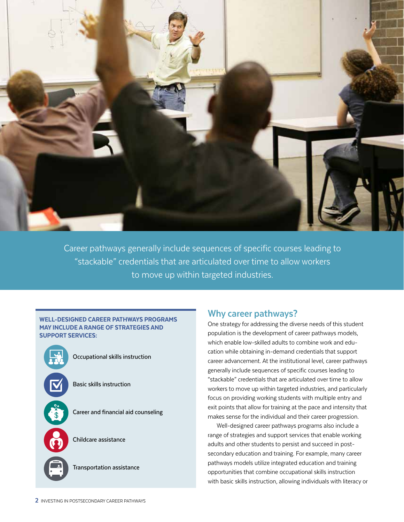

Career pathways generally include sequences of specific courses leading to "stackable" credentials that are articulated over time to allow workers to move up within targeted industries.

#### WELL-DESIGNED CAREER PATHWAYS PROGRAMS MAY INCLUDE A RANGE OF STRATEGIES AND SUPPORT SERVICES:



Occupational skills instruction

Basic skills instruction

Career and financial aid counseling

Childcare assistance

Transportation assistance

## **Why career pathways?**

One strategy for addressing the diverse needs of this student population is the development of career pathways models, which enable low-skilled adults to combine work and education while obtaining in-demand credentials that support career advancement. At the institutional level, career pathways generally include sequences of specific courses leading to "stackable" credentials that are articulated over time to allow workers to move up within targeted industries, and particularly focus on providing working students with multiple entry and exit points that allow for training at the pace and intensity that makes sense for the individual and their career progression.

Well-designed career pathways programs also include a range of strategies and support services that enable working adults and other students to persist and succeed in postsecondary education and training. For example, many career pathways models utilize integrated education and training opportunities that combine occupational skills instruction with basic skills instruction, allowing individuals with literacy or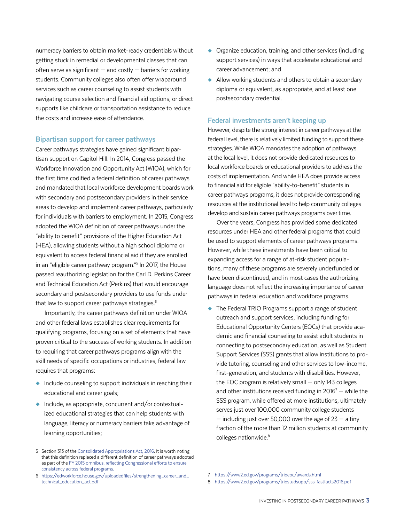numeracy barriers to obtain market-ready credentials without getting stuck in remedial or developmental classes that can often serve as significant  $-$  and costly  $-$  barriers for working students. Community colleges also often offer wraparound services such as career counseling to assist students with navigating course selection and financial aid options, or direct supports like childcare or transportation assistance to reduce the costs and increase ease of attendance.

#### **Bipartisan support for career pathways**

Career pathways strategies have gained significant bipartisan support on Capitol Hill. In 2014, Congress passed the Workforce Innovation and Opportunity Act (WIOA), which for the first time codified a federal definition of career pathways and mandated that local workforce development boards work with secondary and postsecondary providers in their service areas to develop and implement career pathways, particularly for individuals with barriers to employment. In 2015, Congress adopted the WIOA definition of career pathways under the "ability to benefit" provisions of the Higher Education Act (HEA), allowing students without a high school diploma or equivalent to access federal financial aid if they are enrolled in an "eligible career pathway program."5 In 2017, the House passed reauthorizing legislation for the Carl D. Perkins Career and Technical Education Act (Perkins) that would encourage secondary and postsecondary providers to use funds under that law to support career pathways strategies.<sup>6</sup>

Importantly, the career pathways definition under WIOA and other federal laws establishes clear requirements for qualifying programs, focusing on a set of elements that have proven critical to the success of working students. In addition to requiring that career pathways programs align with the skill needs of specific occupations or industries, federal law requires that programs:

- ◆ Include counseling to support individuals in reaching their educational and career goals;
- $\bullet$  Include, as appropriate, concurrent and/or contextualized educational strategies that can help students with language, literacy or numeracy barriers take advantage of learning opportunities;
- ◆ Organize education, training, and other services (including support services) in ways that accelerate educational and career advancement; and
- ◆ Allow working students and others to obtain a secondary diploma or equivalent, as appropriate, and at least one postsecondary credential.

#### **Federal investments aren't keeping up**

However, despite the strong interest in career pathways at the federal level, there is relatively limited funding to support these strategies. While WIOA mandates the adoption of pathways at the local level, it does not provide dedicated resources to local workforce boards or educational providers to address the costs of implementation. And while HEA does provide access to financial aid for eligible "ability-to-benefit" students in career pathways programs, it does not provide corresponding resources at the institutional level to help community colleges develop and sustain career pathways programs over time.

Over the years, Congress has provided some dedicated resources under HEA and other federal programs that could be used to support elements of career pathways programs. However, while these investments have been critical to expanding access for a range of at-risk student populations, many of these programs are severely underfunded or have been discontinued, and in most cases the authorizing language does not reflect the increasing importance of career pathways in federal education and workforce programs.

◆ The Federal TRIO Programs support a range of student outreach and support services, including funding for Educational Opportunity Centers (EOCs) that provide academic and financial counseling to assist adult students in connecting to postsecondary education, as well as Student Support Services (SSS) grants that allow institutions to provide tutoring, counseling and other services to low-income, first-generation, and students with disabilities. However, the EOC program is relatively small — only 143 colleges and other institutions received funding in  $2016<sup>7</sup>$  – while the SSS program, while offered at more institutions, ultimately serves just over 100,000 community college students  $-$  including just over 50,000 over the age of 23  $-$  a tiny fraction of the more than 12 million students at community colleges nationwide.<sup>8</sup>

<sup>5</sup> Section 313 of the [Consolidated Appropriations Act, 2016](https://www.congress.gov/114/bills/hr2029/BILLS-114hr2029enr.pdf). It is worth noting that this definition replaced a different definition of career pathways adopted as part of the [FY 2015 omnibus, reflecting Congressional efforts to ensure](http://docs.house.gov/meetings/RU/RU00/20141210/102799/BILLS-113rcp113-59pp.pdf)  [consistency across federal programs.](http://docs.house.gov/meetings/RU/RU00/20141210/102799/BILLS-113rcp113-59pp.pdf) 

<sup>6</sup> [https://edworkforce.house.gov/uploadedfiles/strengthening\\_career\\_and\\_](https://edworkforce.house.gov/uploadedfiles/strengthening_career_and_technical_education_act.pdf) [technical\\_education\\_act.pdf](https://edworkforce.house.gov/uploadedfiles/strengthening_career_and_technical_education_act.pdf)

<sup>7</sup> <https://www2.ed.gov/programs/trioeoc/awards.html>

<sup>8</sup> <https://www2.ed.gov/programs/triostudsupp/sss-fastfacts2016.pdf>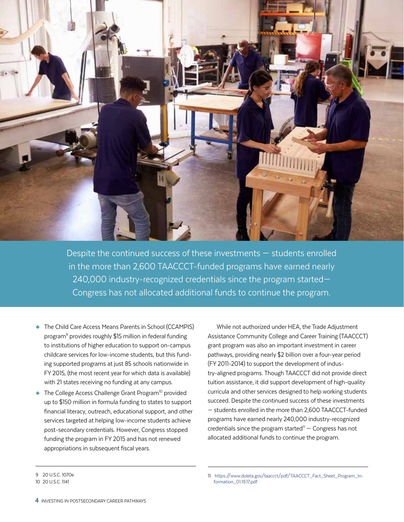

Despite the continued success of these investments — students enrolled in the more than 2,600 TAACCCT-funded programs have earned nearly 240,000 industry-recognized credentials since the program started— Congress has not allocated additional funds to continue the program.

- ◆ The Child Care Access Means Parents in School (CCAMPIS) program<sup>9</sup> provides roughly \$15 million in federal funding to institutions of higher education to support on-campus childcare services for low-income students, but this funding supported programs at just 85 schools nationwide in FY 2015, (the most recent year for which data is available) with 21 states receiving no funding at any campus.
- $\blacklozenge$  The College Access Challenge Grant Program<sup>10</sup> provided up to \$150 million in formula funding to states to support financial literacy, outreach, educational support, and other services targeted at helping low-income students achieve post-secondary credentials. However, Congress stopped funding the program in FY 2015 and has not renewed appropriations in subsequent fiscal years.

While not authorized under HEA, the Trade Adjustment Assistance Community College and Career Training (TAACCCT) grant program was also an important investment in career pathways, providing nearly \$2 billion over a four-year period (FY 2011-2014) to support the development of industry-aligned programs. Though TAACCCT did not provide direct tuition assistance, it did support development of high-quality curricula and other services designed to help working students succeed. Despite the continued success of these investments — students enrolled in the more than 2,600 TAACCCT-funded programs have earned nearly 240,000 industry-recognized credentials since the program started $11 -$  Congress has not allocated additional funds to continue the program.

9 20 U.S.C. 1070e

<sup>10 20</sup> U.S.C. 1141

<sup>11</sup> [https://www.doleta.gov/taaccct/pdf/TAACCCT\\_Fact\\_Sheet\\_Program\\_In](https://www.doleta.gov/taaccct/pdf/TAACCCT_Fact_Sheet_Program_Information_01.19.17.pdf)[formation\\_01.19.17.pdf](https://www.doleta.gov/taaccct/pdf/TAACCCT_Fact_Sheet_Program_Information_01.19.17.pdf)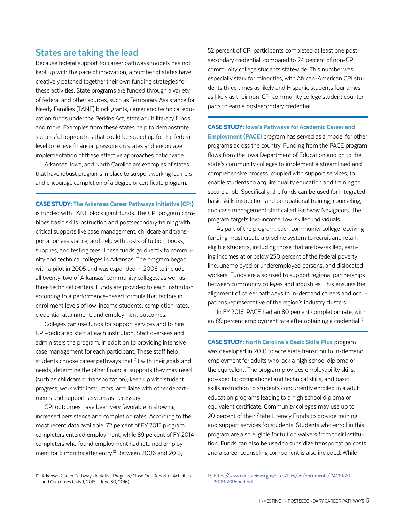# **States are taking the lead**

Because federal support for career pathways models has not kept up with the pace of innovation, a number of states have creatively patched together their own funding strategies for these activities. State programs are funded through a variety of federal and other sources, such as Temporary Assistance for Needy Families (TANF) block grants, career and technical education funds under the Perkins Act, state adult literacy funds, and more. Examples from these states help to demonstrate successful approaches that could be scaled up for the federal level to relieve financial pressure on states and encourage implementation of these effective approaches nationwide.

Arkansas, Iowa, and North Carolina are examples of states that have robust programs in place to support working learners and encourage completion of a degree or certificate program.

CASE STUDY: The Arkansas Career Pathways Initiative (CPI)

is funded with TANF block grant funds. The CPI program combines basic skills instruction and postsecondary training with critical supports like case management, childcare and transportation assistance, and help with costs of tuition, books, supplies, and testing fees. These funds go directly to community and technical colleges in Arkansas. The program began with a pilot in 2005 and was expanded in 2006 to include all twenty-two of Arkansas' community colleges, as well as three technical centers. Funds are provided to each institution according to a performance-based formula that factors in enrollment levels of low-income students, completion rates, credential attainment, and employment outcomes.

Colleges can use funds for support services and to hire CPI-dedicated staff at each institution. Staff oversees and administers the program, in addition to providing intensive case management for each participant. These staff help students choose career pathways that fit with their goals and needs, determine the other financial supports they may need (such as childcare or transportation), keep up with student progress, work with instructors, and liaise with other departments and support services as necessary.

CPI outcomes have been very favorable in showing increased persistence and completion rates. According to the most recent data available, 72 percent of FY 2015 program completers entered employment, while 89 percent of FY 2014 completers who found employment had retained employment for 6 months after entry.<sup>12</sup> Between 2006 and 2013,

12 Arkansas Career Pathways Initiative Progress/Close Out Report of Activities and Outcomes (July 1, 2015 - June 30, 2016).

52 percent of CPI participants completed at least one postsecondary credential, compared to 24 percent of non-CPI community college students statewide. This number was especially stark for minorities, with African-American CPI students three times as likely and Hispanic students four times as likely as their non-CPI community college student counterparts to earn a postsecondary credential.

CASE STUDY: Iowa's Pathways for Academic Career and **Employment (PACE)** program has served as a model for other programs across the country. Funding from the PACE program flows from the Iowa Department of Education and on to the state's community colleges to implement a streamlined and comprehensive process, coupled with support services, to enable students to acquire quality education and training to secure a job. Specifically, the funds can be used for integrated basic skills instruction and occupational training, counseling, and case management staff called Pathway Navigators. The program targets low-income, low-skilled individuals.

As part of the program, each community college receiving funding must create a pipeline system to recruit and retain eligible students, including those that are low-skilled, earning incomes at or below 250 percent of the federal poverty line, unemployed or underemployed persons, and dislocated workers. Funds are also used to support regional partnerships between community colleges and industries. This ensures the alignment of career pathways to in-demand careers and occupations representative of the region's industry clusters.

In FY 2016, PACE had an 80 percent completion rate, with an 89 percent employment rate after obtaining a credential.<sup>13</sup>

CASE STUDY: North Carolina's Basic Skills Plus program was developed in 2010 to accelerate transition to in-demand employment for adults who lack a high school diploma or the equivalent. The program provides employability skills, job-specific occupational and technical skills, and basic skills instruction to students concurrently enrolled in a adult education programs leading to a high school diploma or equivalent certificate. Community colleges may use up to 20 percent of their State Literacy Funds to provide training and support services for students. Students who enroll in this program are also eligible for tuition waivers from their institution. Funds can also be used to subsidize transportation costs and a career counseling component is also included. While

<sup>13</sup> [https://www.educateiowa.gov/sites/files/ed/documents/PACE%20](https://www.educateiowa.gov/sites/files/ed/documents/PACE%202016%20Report.pdf) [2016%20Report.pdf](https://www.educateiowa.gov/sites/files/ed/documents/PACE%202016%20Report.pdf)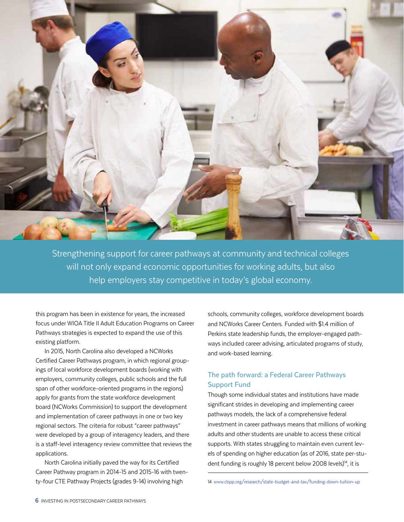

Strengthening support for career pathways at community and technical colleges will not only expand economic opportunities for working adults, but also help employers stay competitive in today's global economy.

this program has been in existence for years, the increased focus under WIOA Title II Adult Education Programs on Career Pathways strategies is expected to expand the use of this existing platform.

In 2015, North Carolina also developed a NCWorks Certified Career Pathways program, in which regional groupings of local workforce development boards (working with employers, community colleges, public schools and the full span of other workforce-oriented programs in the regions) apply for grants from the state workforce development board (NCWorks Commission) to support the development and implementation of career pathways in one or two key regional sectors. The criteria for robust "career pathways" were developed by a group of interagency leaders, and there is a staff-level interagency review committee that reviews the applications.

North Carolina initially paved the way for its Certified Career Pathway program in 2014-15 and 2015-16 with twenty-four CTE Pathway Projects (grades 9-14) involving high

schools, community colleges, workforce development boards and NCWorks Career Centers. Funded with \$1.4 million of Perkins state leadership funds, the employer-engaged pathways included career advising, articulated programs of study, and work-based learning.

# **The path forward: a Federal Career Pathways Support Fund**

Though some individual states and institutions have made significant strides in developing and implementing career pathways models, the lack of a comprehensive federal investment in career pathways means that millions of working adults and other students are unable to access these critical supports. With states struggling to maintain even current levels of spending on higher education (as of 2016, state per-student funding is roughly 18 percent below 2008 levels)<sup>14</sup>, it is

14 [www.cbpp.org/research/state-budget-and-tax/funding-down-tuition-up](https://www.cbpp.org/research/state-budget-and-tax/funding-down-tuition-up)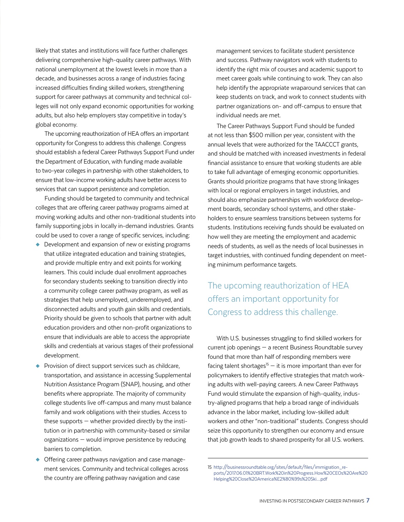likely that states and institutions will face further challenges delivering comprehensive high-quality career pathways. With national unemployment at the lowest levels in more than a decade, and businesses across a range of industries facing increased difficulties finding skilled workers, strengthening support for career pathways at community and technical colleges will not only expand economic opportunities for working adults, but also help employers stay competitive in today's global economy.

The upcoming reauthorization of HEA offers an important opportunity for Congress to address this challenge. Congress should establish a federal Career Pathways Support Fund under the Department of Education, with funding made available to two-year colleges in partnership with other stakeholders, to ensure that low-income working adults have better access to services that can support persistence and completion.

Funding should be targeted to community and technical colleges that are offering career pathway programs aimed at moving working adults and other non-traditional students into family supporting jobs in locally in-demand industries. Grants could be used to cover a range of specific services, including:

- ◆ Development and expansion of new or existing programs that utilize integrated education and training strategies, and provide multiple entry and exit points for working learners. This could include dual enrollment approaches for secondary students seeking to transition directly into a community college career pathway program, as well as strategies that help unemployed, underemployed, and disconnected adults and youth gain skills and credentials. Priority should be given to schools that partner with adult education providers and other non-profit organizations to ensure that individuals are able to access the appropriate skills and credentials at various stages of their professional development.
- ◆ Provision of direct support services such as childcare, transportation, and assistance in accessing Supplemental Nutrition Assistance Program (SNAP), housing, and other benefits where appropriate. The majority of community college students live off-campus and many must balance family and work obligations with their studies. Access to these supports — whether provided directly by the institution or in partnership with community-based or similar organizations — would improve persistence by reducing barriers to completion.
- ◆ Offering career pathways navigation and case management services. Community and technical colleges across the country are offering pathway navigation and case

management services to facilitate student persistence and success. Pathway navigators work with students to identify the right mix of courses and academic support to meet career goals while continuing to work. They can also help identify the appropriate wraparound services that can keep students on track, and work to connect students with partner organizations on- and off-campus to ensure that individual needs are met.

The Career Pathways Support Fund should be funded at not less than \$500 million per year, consistent with the annual levels that were authorized for the TAACCCT grants, and should be matched with increased investments in federal financial assistance to ensure that working students are able to take full advantage of emerging economic opportunities. Grants should prioritize programs that have strong linkages with local or regional employers in target industries, and should also emphasize partnerships with workforce development boards, secondary school systems, and other stakeholders to ensure seamless transitions between systems for students. Institutions receiving funds should be evaluated on how well they are meeting the employment and academic needs of students, as well as the needs of local businesses in target industries, with continued funding dependent on meeting minimum performance targets.

# The upcoming reauthorization of HEA offers an important opportunity for Congress to address this challenge.

With U.S. businesses struggling to find skilled workers for current job openings — a recent Business Roundtable survey found that more than half of responding members were facing talent shortages<sup>15</sup>  $-$  it is more important than ever for policymakers to identify effective strategies that match working adults with well-paying careers. A new Career Pathways Fund would stimulate the expansion of high-quality, industry-aligned programs that help a broad range of individuals advance in the labor market, including low-skilled adult workers and other "non-traditional" students. Congress should seize this opportunity to strengthen our economy and ensure that job growth leads to shared prosperity for all U.S. workers.

<sup>15</sup> [http://businessroundtable.org/sites/default/files/immigration\\_re](http://businessroundtable.org/sites/default/files/immigration_reports/2017.06.01%20BRT.Work%20in%20Progress.How%20CEOs%20Are%20Helping%20Close%20America%E2%80%99s%20Ski....pdf)[ports/2017.06.01%20BRT.Work%20in%20Progress.How%20CEOs%20Are%20](http://businessroundtable.org/sites/default/files/immigration_reports/2017.06.01%20BRT.Work%20in%20Progress.How%20CEOs%20Are%20Helping%20Close%20America%E2%80%99s%20Ski....pdf) [Helping%20Close%20America%E2%80%99s%20Ski....pdf](http://businessroundtable.org/sites/default/files/immigration_reports/2017.06.01%20BRT.Work%20in%20Progress.How%20CEOs%20Are%20Helping%20Close%20America%E2%80%99s%20Ski....pdf)